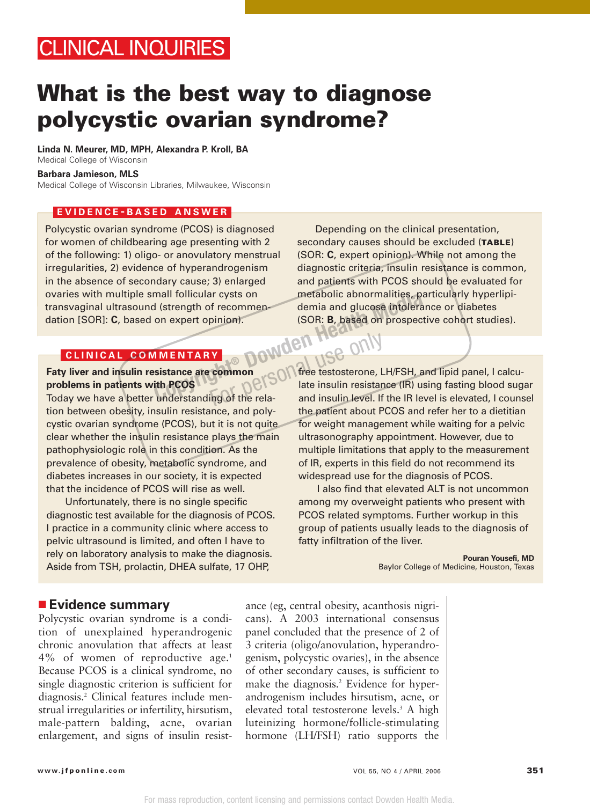## CLINICAL INQUIRIES

## **What is the best way to diagnose polycystic ovarian syndrome?**

**Linda N. Meurer, MD, MPH, Alexandra P. Kroll, BA**

Medical College of Wisconsin

**Barbara Jamieson, MLS**

Medical College of Wisconsin Libraries, Milwaukee, Wisconsin

#### **EVIDENCE - BASED ANSWER**

Polycystic ovarian syndrome (PCOS) is diagnosed for women of childbearing age presenting with 2 of the following: 1) oligo- or anovulatory menstrual irregularities, 2) evidence of hyperandrogenism in the absence of secondary cause; 3) enlarged ovaries with multiple small follicular cysts on transvaginal ultrasound (strength of recommendation [SOR]: **C**, based on expert opinion).

#### **CLINICAL COMMENTARY**

# **Facture COMMENTARY**<br>Faty liver and insulin resistance are common **problems in patients with PCOS**

Today we have a better understanding of the relation between obesity, insulin resistance, and polycystic ovarian syndrome (PCOS), but it is not quite clear whether the insulin resistance plays the main pathophysiologic role in this condition. As the prevalence of obesity, metabolic syndrome, and diabetes increases in our society, it is expected that the incidence of PCOS will rise as well.

Unfortunately, there is no single specific diagnostic test available for the diagnosis of PCOS. I practice in a community clinic where access to pelvic ultrasound is limited, and often I have to rely on laboratory analysis to make the diagnosis. Aside from TSH, prolactin, DHEA sulfate, 17 OHP,

Depending on the clinical presentation, secondary causes should be excluded (**TABLE**) (SOR: **C**, expert opinion). While not among the diagnostic criteria, insulin resistance is common, and patients with PCOS should be evaluated for metabolic abnormalities, particularly hyperlipidemia and glucose intolerance or diabetes (SOR: **B**, based on prospective cohort studies).

free testosterone, LH/FSH, and lipid panel, I calculate insulin resistance (IR) using fasting blood sugar and insulin level. If the IR level is elevated, I counsel the patient about PCOS and refer her to a dietitian for weight management while waiting for a pelvic ultrasonography appointment. However, due to multiple limitations that apply to the measurement of IR, experts in this field do not recommend its widespread use for the diagnosis of PCOS. **COPY AND THE COPYRIGHT MENTARY**<br> **COPY: B, based on prospective on expert opinion).**<br> **COPY: B, based on prospective on expert opinion).**<br> **COPY: B, based on prospective only to the NEW AND COPY These test<br>
sistance are c** 

> I also find that elevated ALT is not uncommon among my overweight patients who present with PCOS related symptoms. Further workup in this group of patients usually leads to the diagnosis of fatty infiltration of the liver.

> > **Pouran Yousefi, MD** Baylor College of Medicine, Houston, Texas

#### ■ **Evidence summary**

Polycystic ovarian syndrome is a condition of unexplained hyperandrogenic chronic anovulation that affects at least 4% of women of reproductive age.1 Because PCOS is a clinical syndrome, no single diagnostic criterion is sufficient for diagnosis.2 Clinical features include menstrual irregularities or infertility, hirsutism, male-pattern balding, acne, ovarian enlargement, and signs of insulin resistance (eg, central obesity, acanthosis nigricans). A 2003 international consensus panel concluded that the presence of 2 of 3 criteria (oligo/anovulation, hyperandrogenism, polycystic ovaries), in the absence of other secondary causes, is sufficient to make the diagnosis.<sup>2</sup> Evidence for hyperandrogenism includes hirsutism, acne, or elevated total testosterone levels.3 A high luteinizing hormone/follicle-stimulating hormone (LH/FSH) ratio supports the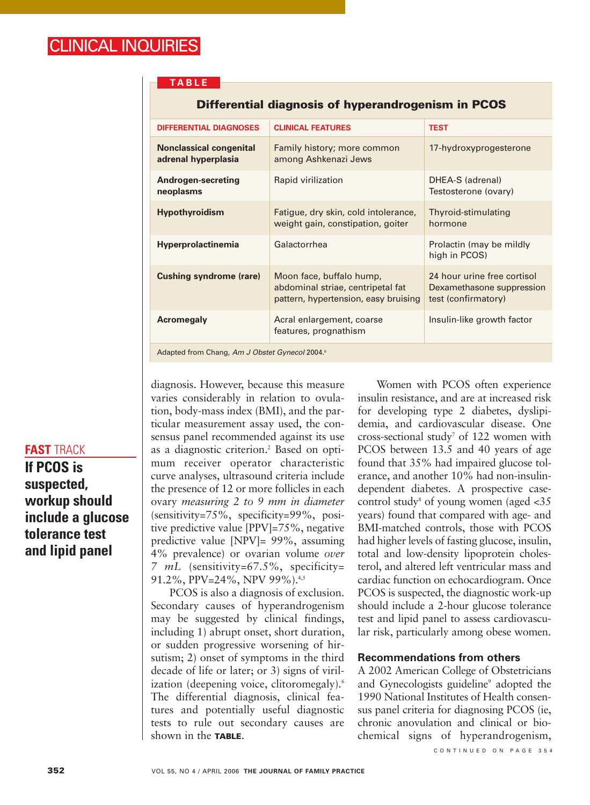#### **TABLE**

| <b>DIFFERENTIAL DIAGNOSES</b>                              | <b>CLINICAL FEATURES</b>                                                                              | <b>TEST</b>                                                                     |
|------------------------------------------------------------|-------------------------------------------------------------------------------------------------------|---------------------------------------------------------------------------------|
| <b>Nonclassical congenital</b><br>adrenal hyperplasia      | Family history; more common<br>among Ashkenazi Jews                                                   | 17-hydroxyprogesterone                                                          |
| Androgen-secreting<br>neoplasms                            | Rapid virilization                                                                                    | DHEA-S (adrenal)<br>Testosterone (ovary)                                        |
| <b>Hypothyroidism</b>                                      | Fatigue, dry skin, cold intolerance,<br>weight gain, constipation, goiter                             | Thyroid-stimulating<br>hormone                                                  |
| <b>Hyperprolactinemia</b>                                  | Galactorrhea                                                                                          | Prolactin (may be mildly<br>high in PCOS)                                       |
| <b>Cushing syndrome (rare)</b>                             | Moon face, buffalo hump,<br>abdominal striae, centripetal fat<br>pattern, hypertension, easy bruising | 24 hour urine free cortisol<br>Dexamethasone suppression<br>test (confirmatory) |
| <b>Acromegaly</b>                                          | Acral enlargement, coarse<br>features, prognathism                                                    | Insulin-like growth factor                                                      |
| Adapted from Chang, Am J Obstet Gynecol 2004. <sup>6</sup> |                                                                                                       |                                                                                 |

#### **Differential diagnosis of hyperandrogenism in PCOS**

### **FAST** TRACK

**If PCOS is suspected, workup should include a glucose tolerance test and lipid panel**

diagnosis. However, because this measure varies considerably in relation to ovulation, body-mass index (BMI), and the particular measurement assay used, the consensus panel recommended against its use as a diagnostic criterion.<sup>2</sup> Based on optimum receiver operator characteristic curve analyses, ultrasound criteria include the presence of 12 or more follicles in each ovary *measuring 2 to 9 mm in diameter* (sensitivity=75%, specificity=99%, positive predictive value [PPV]=75%, negative predictive value [NPV]= 99%, assuming 4% prevalence) or ovarian volume *over 7 mL* (sensitivity=67.5%, specificity= 91.2%, PPV=24%, NPV 99%).<sup>4,5</sup>

PCOS is also a diagnosis of exclusion. Secondary causes of hyperandrogenism may be suggested by clinical findings, including 1) abrupt onset, short duration, or sudden progressive worsening of hirsutism; 2) onset of symptoms in the third decade of life or later; or 3) signs of virilization (deepening voice, clitoromegaly).<sup>6</sup> The differential diagnosis, clinical features and potentially useful diagnostic tests to rule out secondary causes are shown in the **TABLE**.

Women with PCOS often experience insulin resistance, and are at increased risk for developing type 2 diabetes, dyslipidemia, and cardiovascular disease. One cross-sectional study<sup>7</sup> of 122 women with PCOS between 13.5 and 40 years of age found that 35% had impaired glucose tolerance, and another 10% had non-insulindependent diabetes. A prospective casecontrol study<sup>8</sup> of young women (aged  $\langle 35 \rangle$ years) found that compared with age- and BMI-matched controls, those with PCOS had higher levels of fasting glucose, insulin, total and low-density lipoprotein cholesterol, and altered left ventricular mass and cardiac function on echocardiogram. Once PCOS is suspected, the diagnostic work-up should include a 2-hour glucose tolerance test and lipid panel to assess cardiovascular risk, particularly among obese women.

#### **Recommendations from others**

A 2002 American College of Obstetricians and Gynecologists guideline<sup>9</sup> adopted the 1990 National Institutes of Health consensus panel criteria for diagnosing PCOS (ie, chronic anovulation and clinical or biochemical signs of hyperandrogenism,